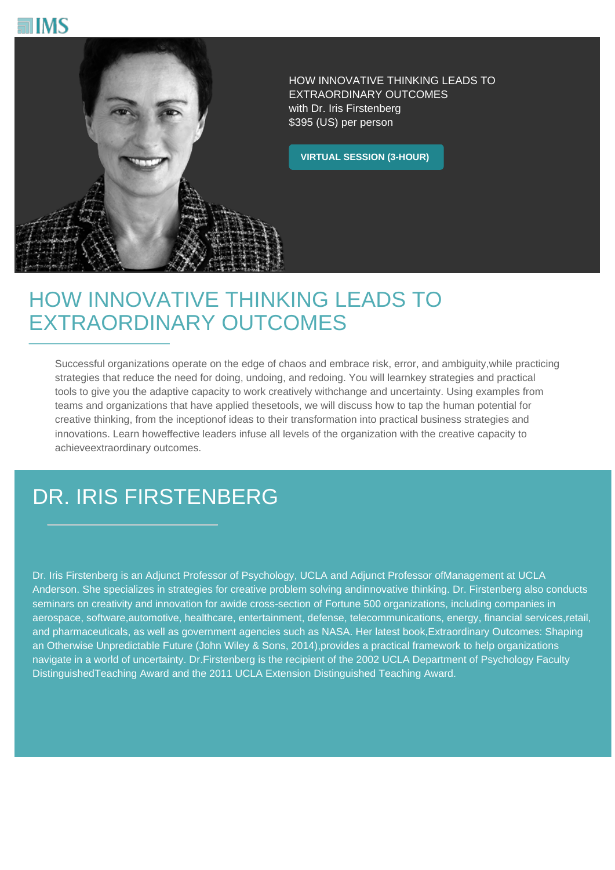



HOW INNOVATIVE THINKING LEADS TO EXTRAORDINARY OUTCOMES with Dr. Iris Firstenberg \$395 (US) per person

**VIRTUAL SESSION (3-HOUR)**

## HOW INNOVATIVE THINKING LEADS TO EXTRAORDINARY OUTCOMES

Successful organizations operate on the edge of chaos and embrace risk, error, and ambiguity,while practicing strategies that reduce the need for doing, undoing, and redoing. You will learnkey strategies and practical tools to give you the adaptive capacity to work creatively withchange and uncertainty. Using examples from teams and organizations that have applied thesetools, we will discuss how to tap the human potential for creative thinking, from the inceptionof ideas to their transformation into practical business strategies and innovations. Learn howeffective leaders infuse all levels of the organization with the creative capacity to achieveextraordinary outcomes.

## DR. IRIS FIRSTENBERG

Dr. Iris Firstenberg is an Adjunct Professor of Psychology, UCLA and Adjunct Professor ofManagement at UCLA Anderson. She specializes in strategies for creative problem solving andinnovative thinking. Dr. Firstenberg also conducts seminars on creativity and innovation for awide cross-section of Fortune 500 organizations, including companies in aerospace, software,automotive, healthcare, entertainment, defense, telecommunications, energy, financial services,retail, and pharmaceuticals, as well as government agencies such as NASA. Her latest book,Extraordinary Outcomes: Shaping an Otherwise Unpredictable Future (John Wiley & Sons, 2014),provides a practical framework to help organizations navigate in a world of uncertainty. Dr.Firstenberg is the recipient of the 2002 UCLA Department of Psychology Faculty DistinguishedTeaching Award and the 2011 UCLA Extension Distinguished Teaching Award.